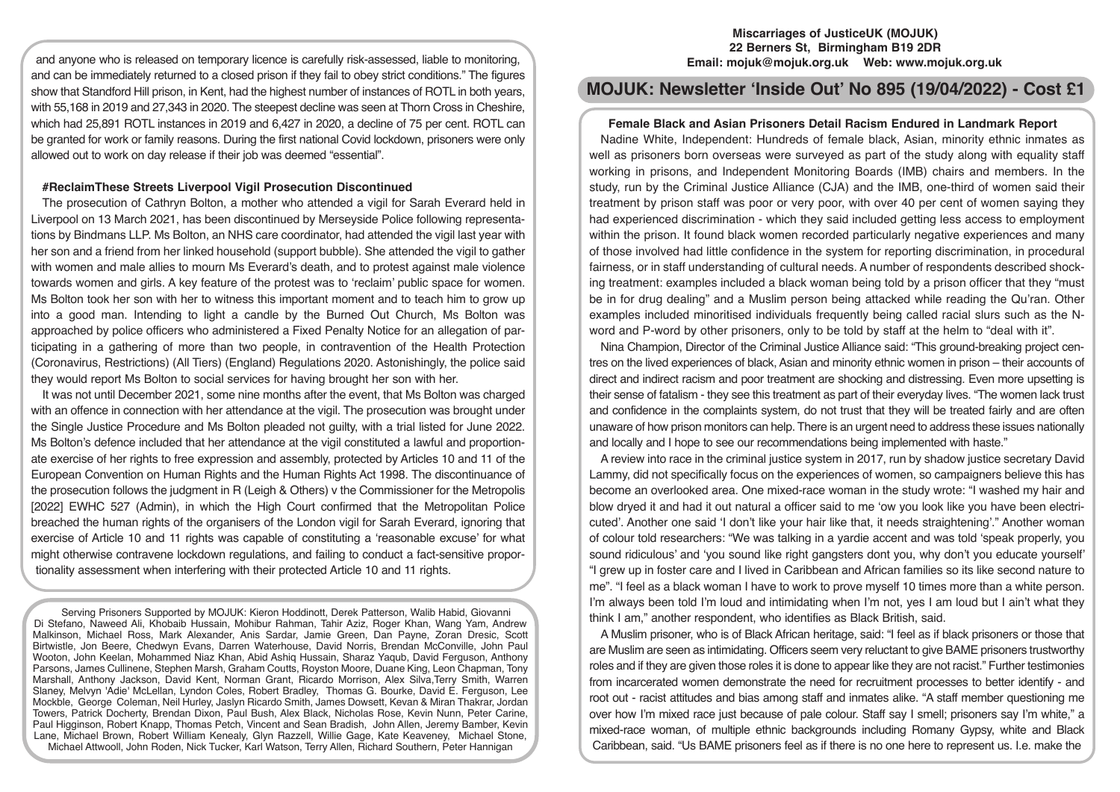and anyone who is released on temporary licence is carefully risk-assessed, liable to monitoring, and can be immediately returned to a closed prison if they fail to obey strict conditions." The figures show that Standford Hill prison, in Kent, had the highest number of instances of ROTL in both years, with 55,168 in 2019 and 27,343 in 2020. The steepest decline was seen at Thorn Cross in Cheshire, which had 25,891 ROTL instances in 2019 and 6,427 in 2020, a decline of 75 per cent. ROTL can be granted for work or family reasons. During the first national Covid lockdown, prisoners were only allowed out to work on day release if their job was deemed "essential".

# **#ReclaimThese Streets Liverpool Vigil Prosecution Discontinued**

The prosecution of Cathryn Bolton, a mother who attended a vigil for Sarah Everard held in Liverpool on 13 March 2021, has been discontinued by Merseyside Police following representations by Bindmans LLP. Ms Bolton, an NHS care coordinator, had attended the vigil last year with her son and a friend from her linked household (support bubble). She attended the vigil to gather with women and male allies to mourn Ms Everard's death, and to protest against male violence towards women and girls. A key feature of the protest was to 'reclaim' public space for women. Ms Bolton took her son with her to witness this important moment and to teach him to grow up into a good man. Intending to light a candle by the Burned Out Church, Ms Bolton was approached by police officers who administered a Fixed Penalty Notice for an allegation of participating in a gathering of more than two people, in contravention of the Health Protection (Coronavirus, Restrictions) (All Tiers) (England) Regulations 2020. Astonishingly, the police said they would report Ms Bolton to social services for having brought her son with her.

It was not until December 2021, some nine months after the event, that Ms Bolton was charged with an offence in connection with her attendance at the vigil. The prosecution was brought under the Single Justice Procedure and Ms Bolton pleaded not guilty, with a trial listed for June 2022. Ms Bolton's defence included that her attendance at the vigil constituted a lawful and proportionate exercise of her rights to free expression and assembly, protected by Articles 10 and 11 of the European Convention on Human Rights and the Human Rights Act 1998. The discontinuance of the prosecution follows the judgment in R (Leigh & Others) v the Commissioner for the Metropolis [2022] EWHC 527 (Admin), in which the High Court confirmed that the Metropolitan Police breached the human rights of the organisers of the London vigil for Sarah Everard, ignoring that exercise of Article 10 and 11 rights was capable of constituting a 'reasonable excuse' for what might otherwise contravene lockdown regulations, and failing to conduct a fact-sensitive proportionality assessment when interfering with their protected Article 10 and 11 rights.

Serving Prisoners Supported by MOJUK: Kieron Hoddinott, Derek Patterson, Walib Habid, Giovanni Di Stefano, Naweed Ali, Khobaib Hussain, Mohibur Rahman, Tahir Aziz, Roger Khan, Wang Yam, Andrew Malkinson, Michael Ross, Mark Alexander, Anis Sardar, Jamie Green, Dan Payne, Zoran Dresic, Scott Birtwistle, Jon Beere, Chedwyn Evans, Darren Waterhouse, David Norris, Brendan McConville, John Paul Wooton, John Keelan, Mohammed Niaz Khan, Abid Ashiq Hussain, Sharaz Yaqub, David Ferguson, Anthony Parsons, James Cullinene, Stephen Marsh, Graham Coutts, Royston Moore, Duane King, Leon Chapman, Tony Marshall, Anthony Jackson, David Kent, Norman Grant, Ricardo Morrison, Alex Silva,Terry Smith, Warren Slaney, Melvyn 'Adie' McLellan, Lyndon Coles, Robert Bradley, Thomas G. Bourke, David E. Ferguson, Lee Mockble, George Coleman, Neil Hurley, Jaslyn Ricardo Smith, James Dowsett, Kevan & Miran Thakrar, Jordan Towers, Patrick Docherty, Brendan Dixon, Paul Bush, Alex Black, Nicholas Rose, Kevin Nunn, Peter Carine, Paul Higginson, Robert Knapp, Thomas Petch, Vincent and Sean Bradish, John Allen, Jeremy Bamber, Kevin Lane, Michael Brown, Robert William Kenealy, Glyn Razzell, Willie Gage, Kate Keaveney, Michael Stone, Michael Attwooll, John Roden, Nick Tucker, Karl Watson, Terry Allen, Richard Southern, Peter Hannigan

# **Miscarriages of JusticeUK (MOJUK) 22 Berners St, Birmingham B19 2DR Email: mojuk@mojuk.org.uk Web: www.mojuk.org.uk**

# **MOJUK: Newsletter 'Inside Out' No 895 (19/04/2022) - Cost £1**

## **Female Black and Asian Prisoners Detail Racism Endured in Landmark Report**

Nadine White, Independent: Hundreds of female black, Asian, minority ethnic inmates as well as prisoners born overseas were surveyed as part of the study along with equality staff working in prisons, and Independent Monitoring Boards (IMB) chairs and members. In the study, run by the Criminal Justice Alliance (CJA) and the IMB, one-third of women said their treatment by prison staff was poor or very poor, with over 40 per cent of women saying they had experienced discrimination - which they said included getting less access to employment within the prison. It found black women recorded particularly negative experiences and many of those involved had little confidence in the system for reporting discrimination, in procedural fairness, or in staff understanding of cultural needs. A number of respondents described shocking treatment: examples included a black woman being told by a prison officer that they "must be in for drug dealing" and a Muslim person being attacked while reading the Qu'ran. Other examples included minoritised individuals frequently being called racial slurs such as the Nword and P-word by other prisoners, only to be told by staff at the helm to "deal with it".

Nina Champion, Director of the Criminal Justice Alliance said: "This ground-breaking project centres on the lived experiences of black, Asian and minority ethnic women in prison – their accounts of direct and indirect racism and poor treatment are shocking and distressing. Even more upsetting is their sense of fatalism - they see this treatment as part of their everyday lives. "The women lack trust and confidence in the complaints system, do not trust that they will be treated fairly and are often unaware of how prison monitors can help. There is an urgent need to address these issues nationally and locally and I hope to see our recommendations being implemented with haste."

A review into race in the criminal justice system in 2017, run by shadow justice secretary David Lammy, did not specifically focus on the experiences of women, so campaigners believe this has become an overlooked area. One mixed-race woman in the study wrote: "I washed my hair and blow dryed it and had it out natural a officer said to me 'ow you look like you have been electricuted'. Another one said 'I don't like your hair like that, it needs straightening'." Another woman of colour told researchers: "We was talking in a yardie accent and was told 'speak properly, you sound ridiculous' and 'you sound like right gangsters dont you, why don't you educate yourself' "I grew up in foster care and I lived in Caribbean and African families so its like second nature to me". "I feel as a black woman I have to work to prove myself 10 times more than a white person. I'm always been told I'm loud and intimidating when I'm not, yes I am loud but I ain't what they think I am," another respondent, who identifies as Black British, said.

A Muslim prisoner, who is of Black African heritage, said: "I feel as if black prisoners or those that are Muslim are seen as intimidating. Officers seem very reluctant to give BAME prisoners trustworthy roles and if they are given those roles it is done to appear like they are not racist." Further testimonies from incarcerated women demonstrate the need for recruitment processes to better identify - and root out - racist attitudes and bias among staff and inmates alike. "A staff member questioning me over how I'm mixed race just because of pale colour. Staff say I smell; prisoners say I'm white," a mixed-race woman, of multiple ethnic backgrounds including Romany Gypsy, white and Black Caribbean, said. "Us BAME prisoners feel as if there is no one here to represent us. I.e. make the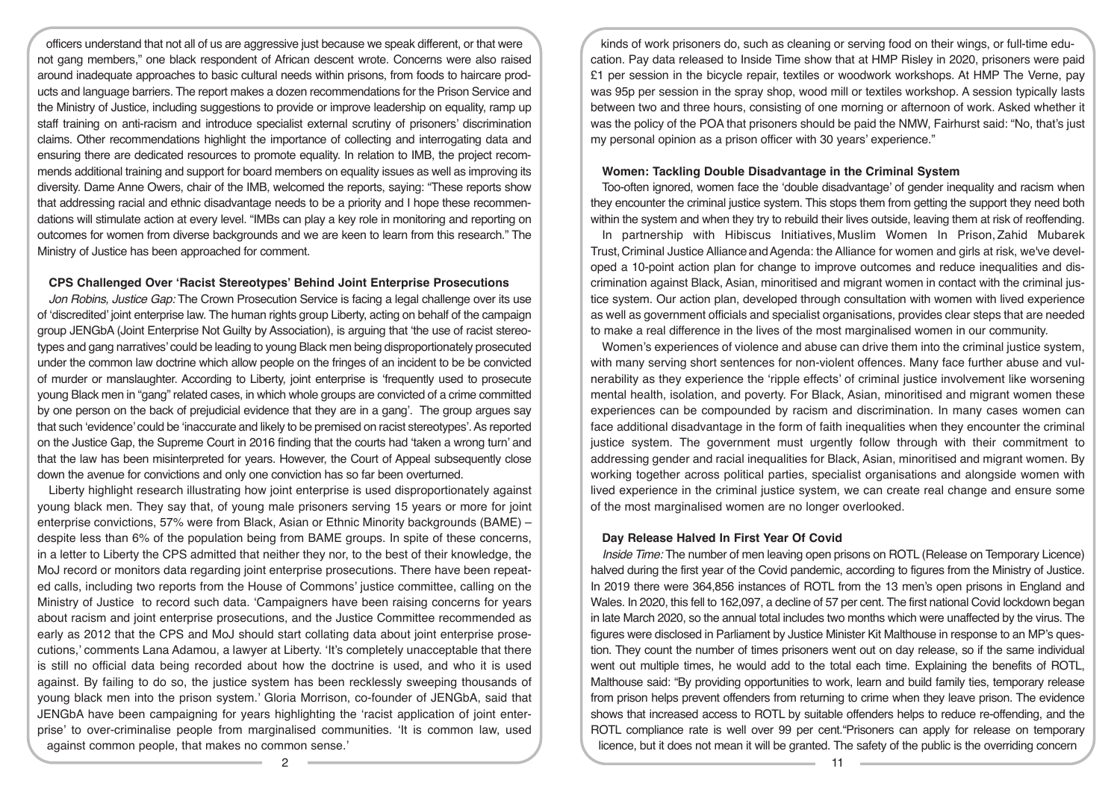officers understand that not all of us are aggressive just because we speak different, or that were not gang members," one black respondent of African descent wrote. Concerns were also raised around inadequate approaches to basic cultural needs within prisons, from foods to haircare products and language barriers. The report makes a dozen recommendations for the Prison Service and the Ministry of Justice, including suggestions to provide or improve leadership on equality, ramp up staff training on anti-racism and introduce specialist external scrutiny of prisoners' discrimination claims. Other recommendations highlight the importance of collecting and interrogating data and ensuring there are dedicated resources to promote equality. In relation to IMB, the project recommends additional training and support for board members on equality issues as well as improving its diversity. Dame Anne Owers, chair of the IMB, welcomed the reports, saying: "These reports show that addressing racial and ethnic disadvantage needs to be a priority and I hope these recommendations will stimulate action at every level. "IMBs can play a key role in monitoring and reporting on outcomes for women from diverse backgrounds and we are keen to learn from this research." The Ministry of Justice has been approached for comment.

#### **CPS Challenged Over 'Racist Stereotypes' Behind Joint Enterprise Prosecutions**

*Jon Robins, Justice Gap:* The Crown Prosecution Service is facing a legal challenge over its use of 'discredited' joint enterprise law. The human rights group Liberty, acting on behalf of the campaign group JENGbA (Joint Enterprise Not Guilty by Association), is arguing that 'the use of racist stereotypes and gang narratives' could be leading to young Black men being disproportionately prosecuted under the common law doctrine which allow people on the fringes of an incident to be be convicted of murder or manslaughter. According to Liberty, joint enterprise is 'frequently used to prosecute young Black men in "gang" related cases, in which whole groups are convicted of a crime committed by one person on the back of prejudicial evidence that they are in a gang'. The group argues say that such 'evidence' could be 'inaccurate and likely to be premised on racist stereotypes'. As reported on the Justice Gap, the Supreme Court in 2016 finding that the courts had 'taken a wrong turn' and that the law has been misinterpreted for years. However, the Court of Appeal subsequently close down the avenue for convictions and only one conviction has so far been overturned.

Liberty highlight research illustrating how joint enterprise is used disproportionately against young black men. They say that, of young male prisoners serving 15 years or more for joint enterprise convictions, 57% were from Black, Asian or Ethnic Minority backgrounds (BAME) – despite less than 6% of the population being from BAME groups. In spite of these concerns, in a letter to Liberty the CPS admitted that neither they nor, to the best of their knowledge, the MoJ record or monitors data regarding joint enterprise prosecutions. There have been repeated calls, including two reports from the House of Commons' justice committee, calling on the Ministry of Justice to record such data. 'Campaigners have been raising concerns for years about racism and joint enterprise prosecutions, and the Justice Committee recommended as early as 2012 that the CPS and MoJ should start collating data about joint enterprise prosecutions,' comments Lana Adamou, a lawyer at Liberty. 'It's completely unacceptable that there is still no official data being recorded about how the doctrine is used, and who it is used against. By failing to do so, the justice system has been recklessly sweeping thousands of young black men into the prison system.' Gloria Morrison, co-founder of JENGbA, said that JENGbA have been campaigning for years highlighting the 'racist application of joint enterprise' to over-criminalise people from marginalised communities. 'It is common law, used against common people, that makes no common sense.'

kinds of work prisoners do, such as cleaning or serving food on their wings, or full-time education. Pay data released to Inside Time show that at HMP Risley in 2020, prisoners were paid £1 per session in the bicycle repair, textiles or woodwork workshops. At HMP The Verne, pay was 95p per session in the spray shop, wood mill or textiles workshop. A session typically lasts between two and three hours, consisting of one morning or afternoon of work. Asked whether it was the policy of the POA that prisoners should be paid the NMW, Fairhurst said: "No, that's just my personal opinion as a prison officer with 30 years' experience."

## **Women: Tackling Double Disadvantage in the Criminal System**

Too-often ignored, women face the 'double disadvantage' of gender inequality and racism when they encounter the criminal justice system. This stops them from getting the support they need both within the system and when they try to rebuild their lives outside, leaving them at risk of reoffending.

In partnership with Hibiscus Initiatives, Muslim Women In Prison,Zahid Mubarek Trust, Criminal Justice Alliance and Agenda: the Alliance for women and girls at risk, we've developed a 10-point action plan for change to improve outcomes and reduce inequalities and discrimination against Black, Asian, minoritised and migrant women in contact with the criminal justice system. Our action plan, developed through consultation with women with lived experience as well as government officials and specialist organisations, provides clear steps that are needed to make a real difference in the lives of the most marginalised women in our community.

Women's experiences of violence and abuse can drive them into the criminal justice system, with many serving short sentences for non-violent offences. Many face further abuse and vulnerability as they experience the 'ripple effects' of criminal justice involvement like worsening mental health, isolation, and poverty. For Black, Asian, minoritised and migrant women these experiences can be compounded by racism and discrimination. In many cases women can face additional disadvantage in the form of faith inequalities when they encounter the criminal justice system. The government must urgently follow through with their commitment to addressing gender and racial inequalities for Black, Asian, minoritised and migrant women. By working together across political parties, specialist organisations and alongside women with lived experience in the criminal justice system, we can create real change and ensure some of the most marginalised women are no longer overlooked.

## **Day Release Halved In First Year Of Covid**

*Inside Time:* The number of men leaving open prisons on ROTL (Release on Temporary Licence) halved during the first year of the Covid pandemic, according to figures from the Ministry of Justice. In 2019 there were 364,856 instances of ROTL from the 13 men's open prisons in England and Wales. In 2020, this fell to 162,097, a decline of 57 per cent. The first national Covid lockdown began in late March 2020, so the annual total includes two months which were unaffected by the virus. The figures were disclosed in Parliament by Justice Minister Kit Malthouse in response to an MP's question. They count the number of times prisoners went out on day release, so if the same individual went out multiple times, he would add to the total each time. Explaining the benefits of ROTL, Malthouse said: "By providing opportunities to work, learn and build family ties, temporary release from prison helps prevent offenders from returning to crime when they leave prison. The evidence shows that increased access to ROTL by suitable offenders helps to reduce re-offending, and the ROTL compliance rate is well over 99 per cent."Prisoners can apply for release on temporary licence, but it does not mean it will be granted. The safety of the public is the overriding concern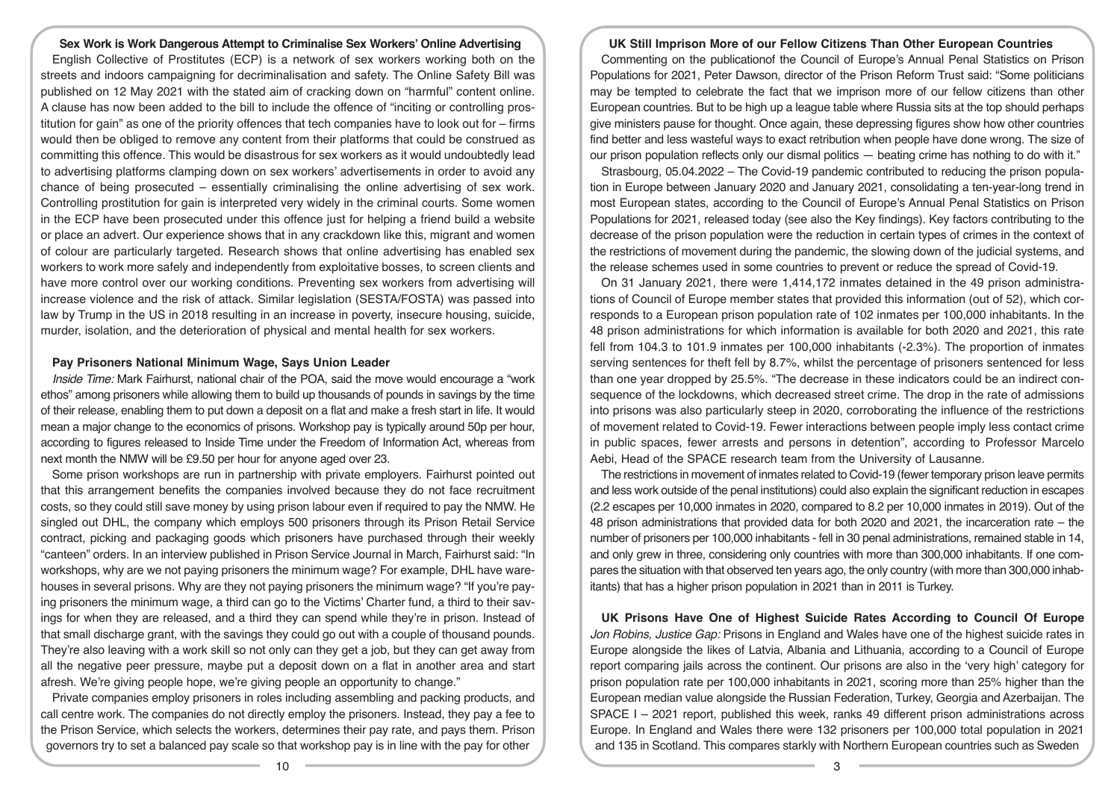**Sex Work is Work Dangerous Attempt to Criminalise Sex Workers' Online Advertising**  English Collective of Prostitutes (ECP) is a network of sex workers working both on the streets and indoors campaigning for decriminalisation and safety. The Online Safety Bill was published on 12 May 2021 with the stated aim of cracking down on "harmful" content online. A clause has now been added to the bill to include the offence of "inciting or controlling prostitution for gain" as one of the priority offences that tech companies have to look out for – firms would then be obliged to remove any content from their platforms that could be construed as committing this offence. This would be disastrous for sex workers as it would undoubtedly lead to advertising platforms clamping down on sex workers' advertisements in order to avoid any chance of being prosecuted – essentially criminalising the online advertising of sex work. Controlling prostitution for gain is interpreted very widely in the criminal courts. Some women in the ECP have been prosecuted under this offence just for helping a friend build a website or place an advert. Our experience shows that in any crackdown like this, migrant and women of colour are particularly targeted. Research shows that online advertising has enabled sex workers to work more safely and independently from exploitative bosses, to screen clients and have more control over our working conditions. Preventing sex workers from advertising will increase violence and the risk of attack. Similar legislation (SESTA/FOSTA) was passed into law by Trump in the US in 2018 resulting in an increase in poverty, insecure housing, suicide, murder, isolation, and the deterioration of physical and mental health for sex workers.

# **Pay Prisoners National Minimum Wage, Says Union Leader**

*Inside Time:* Mark Fairhurst, national chair of the POA, said the move would encourage a "work ethos" among prisoners while allowing them to build up thousands of pounds in savings by the time of their release, enabling them to put down a deposit on a flat and make a fresh start in life. It would mean a major change to the economics of prisons. Workshop pay is typically around 50p per hour, according to figures released to Inside Time under the Freedom of Information Act, whereas from next month the NMW will be £9.50 per hour for anyone aged over 23.

Some prison workshops are run in partnership with private employers. Fairhurst pointed out that this arrangement benefits the companies involved because they do not face recruitment costs, so they could still save money by using prison labour even if required to pay the NMW. He singled out DHL, the company which employs 500 prisoners through its Prison Retail Service contract, picking and packaging goods which prisoners have purchased through their weekly "canteen" orders. In an interview published in Prison Service Journal in March, Fairhurst said: "In workshops, why are we not paying prisoners the minimum wage? For example, DHL have warehouses in several prisons. Why are they not paying prisoners the minimum wage? "If you're paying prisoners the minimum wage, a third can go to the Victims' Charter fund, a third to their savings for when they are released, and a third they can spend while they're in prison. Instead of that small discharge grant, with the savings they could go out with a couple of thousand pounds. They're also leaving with a work skill so not only can they get a job, but they can get away from all the negative peer pressure, maybe put a deposit down on a flat in another area and start afresh. We're giving people hope, we're giving people an opportunity to change."

Private companies employ prisoners in roles including assembling and packing products, and call centre work. The companies do not directly employ the prisoners. Instead, they pay a fee to the Prison Service, which selects the workers, determines their pay rate, and pays them. Prison governors try to set a balanced pay scale so that workshop pay is in line with the pay for other

#### **UK Still Imprison More of our Fellow Citizens Than Other European Countries**

Commenting on the publicationof the Council of Europe's Annual Penal Statistics on Prison Populations for 2021, Peter Dawson, director of the Prison Reform Trust said: "Some politicians may be tempted to celebrate the fact that we imprison more of our fellow citizens than other European countries. But to be high up a league table where Russia sits at the top should perhaps give ministers pause for thought. Once again, these depressing figures show how other countries find better and less wasteful ways to exact retribution when people have done wrong. The size of our prison population reflects only our dismal politics — beating crime has nothing to do with it."

Strasbourg, 05.04.2022 – The Covid-19 pandemic contributed to reducing the prison population in Europe between January 2020 and January 2021, consolidating a ten-year-long trend in most European states, according to the Council of Europe's Annual Penal Statistics on Prison Populations for 2021, released today (see also the Key findings). Key factors contributing to the decrease of the prison population were the reduction in certain types of crimes in the context of the restrictions of movement during the pandemic, the slowing down of the judicial systems, and the release schemes used in some countries to prevent or reduce the spread of Covid-19.

On 31 January 2021, there were 1,414,172 inmates detained in the 49 prison administrations of Council of Europe member states that provided this information (out of 52), which corresponds to a European prison population rate of 102 inmates per 100,000 inhabitants. In the 48 prison administrations for which information is available for both 2020 and 2021, this rate fell from 104.3 to 101.9 inmates per 100,000 inhabitants (-2.3%). The proportion of inmates serving sentences for theft fell by 8.7%, whilst the percentage of prisoners sentenced for less than one year dropped by 25.5%. "The decrease in these indicators could be an indirect consequence of the lockdowns, which decreased street crime. The drop in the rate of admissions into prisons was also particularly steep in 2020, corroborating the influence of the restrictions of movement related to Covid-19. Fewer interactions between people imply less contact crime in public spaces, fewer arrests and persons in detention", according to Professor Marcelo Aebi, Head of the SPACE research team from the University of Lausanne.

The restrictions in movement of inmates related to Covid-19 (fewer temporary prison leave permits and less work outside of the penal institutions) could also explain the significant reduction in escapes (2.2 escapes per 10,000 inmates in 2020, compared to 8.2 per 10,000 inmates in 2019). Out of the 48 prison administrations that provided data for both 2020 and 2021, the incarceration rate – the number of prisoners per 100,000 inhabitants - fell in 30 penal administrations, remained stable in 14, and only grew in three, considering only countries with more than 300,000 inhabitants. If one compares the situation with that observed ten years ago, the only country (with more than 300,000 inhabitants) that has a higher prison population in 2021 than in 2011 is Turkey.

**UK Prisons Have One of Highest Suicide Rates According to Council Of Europe**  *Jon Robins, Justice Gap:* Prisons in England and Wales have one of the highest suicide rates in Europe alongside the likes of Latvia, Albania and Lithuania, according to a Council of Europe report comparing jails across the continent. Our prisons are also in the 'very high' category for prison population rate per 100,000 inhabitants in 2021, scoring more than 25% higher than the European median value alongside the Russian Federation, Turkey, Georgia and Azerbaijan. The SPACE I – 2021 report, published this week, ranks 49 different prison administrations across Europe. In England and Wales there were 132 prisoners per 100,000 total population in 2021 and 135 in Scotland. This compares starkly with Northern European countries such as Sweden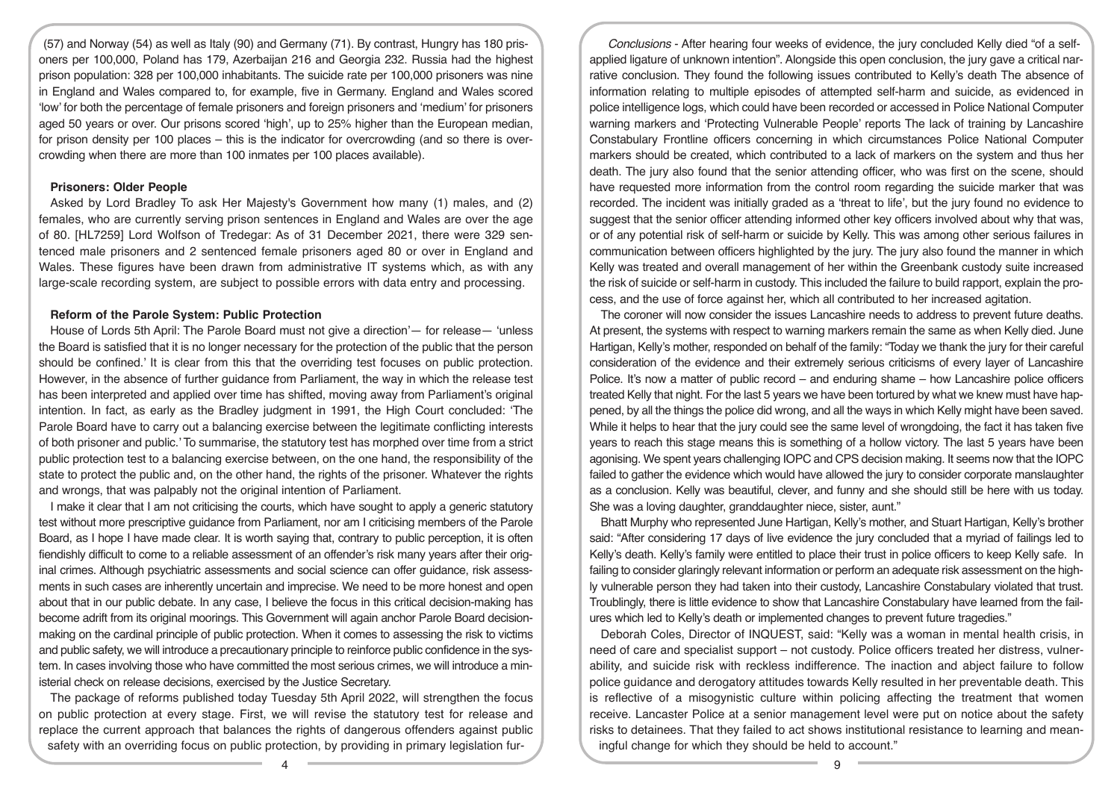(57) and Norway (54) as well as Italy (90) and Germany (71). By contrast, Hungry has 180 prisoners per 100,000, Poland has 179, Azerbaijan 216 and Georgia 232. Russia had the highest prison population: 328 per 100,000 inhabitants. The suicide rate per 100,000 prisoners was nine in England and Wales compared to, for example, five in Germany. England and Wales scored 'low' for both the percentage of female prisoners and foreign prisoners and 'medium' for prisoners aged 50 years or over. Our prisons scored 'high', up to 25% higher than the European median, for prison density per 100 places – this is the indicator for overcrowding (and so there is overcrowding when there are more than 100 inmates per 100 places available).

# **Prisoners: Older People**

Asked by Lord Bradley To ask Her Majesty's Government how many (1) males, and (2) females, who are currently serving prison sentences in England and Wales are over the age of 80. [HL7259] Lord Wolfson of Tredegar: As of 31 December 2021, there were 329 sentenced male prisoners and 2 sentenced female prisoners aged 80 or over in England and Wales. These figures have been drawn from administrative IT systems which, as with any large-scale recording system, are subject to possible errors with data entry and processing.

# **Reform of the Parole System: Public Protection**

House of Lords 5th April: The Parole Board must not give a direction'— for release— 'unless the Board is satisfied that it is no longer necessary for the protection of the public that the person should be confined.' It is clear from this that the overriding test focuses on public protection. However, in the absence of further guidance from Parliament, the way in which the release test has been interpreted and applied over time has shifted, moving away from Parliament's original intention. In fact, as early as the Bradley judgment in 1991, the High Court concluded: 'The Parole Board have to carry out a balancing exercise between the legitimate conflicting interests of both prisoner and public.' To summarise, the statutory test has morphed over time from a strict public protection test to a balancing exercise between, on the one hand, the responsibility of the state to protect the public and, on the other hand, the rights of the prisoner. Whatever the rights and wrongs, that was palpably not the original intention of Parliament.

I make it clear that I am not criticising the courts, which have sought to apply a generic statutory test without more prescriptive guidance from Parliament, nor am I criticising members of the Parole Board, as I hope I have made clear. It is worth saying that, contrary to public perception, it is often fiendishly difficult to come to a reliable assessment of an offender's risk many years after their original crimes. Although psychiatric assessments and social science can offer guidance, risk assessments in such cases are inherently uncertain and imprecise. We need to be more honest and open about that in our public debate. In any case, I believe the focus in this critical decision-making has become adrift from its original moorings. This Government will again anchor Parole Board decisionmaking on the cardinal principle of public protection. When it comes to assessing the risk to victims and public safety, we will introduce a precautionary principle to reinforce public confidence in the system. In cases involving those who have committed the most serious crimes, we will introduce a ministerial check on release decisions, exercised by the Justice Secretary.

The package of reforms published today Tuesday 5th April 2022, will strengthen the focus on public protection at every stage. First, we will revise the statutory test for release and replace the current approach that balances the rights of dangerous offenders against public safety with an overriding focus on public protection, by providing in primary legislation fur-

*Conclusions* - After hearing four weeks of evidence, the jury concluded Kelly died "of a selfapplied ligature of unknown intention". Alongside this open conclusion, the jury gave a critical narrative conclusion. They found the following issues contributed to Kelly's death The absence of information relating to multiple episodes of attempted self-harm and suicide, as evidenced in police intelligence logs, which could have been recorded or accessed in Police National Computer warning markers and 'Protecting Vulnerable People' reports The lack of training by Lancashire Constabulary Frontline officers concerning in which circumstances Police National Computer markers should be created, which contributed to a lack of markers on the system and thus her death. The jury also found that the senior attending officer, who was first on the scene, should have requested more information from the control room regarding the suicide marker that was recorded. The incident was initially graded as a 'threat to life', but the jury found no evidence to suggest that the senior officer attending informed other key officers involved about why that was, or of any potential risk of self-harm or suicide by Kelly. This was among other serious failures in communication between officers highlighted by the jury. The jury also found the manner in which Kelly was treated and overall management of her within the Greenbank custody suite increased the risk of suicide or self-harm in custody. This included the failure to build rapport, explain the process, and the use of force against her, which all contributed to her increased agitation.

The coroner will now consider the issues Lancashire needs to address to prevent future deaths. At present, the systems with respect to warning markers remain the same as when Kelly died. June Hartigan, Kelly's mother, responded on behalf of the family: "Today we thank the jury for their careful consideration of the evidence and their extremely serious criticisms of every layer of Lancashire Police. It's now a matter of public record – and enduring shame – how Lancashire police officers treated Kelly that night. For the last 5 years we have been tortured by what we knew must have happened, by all the things the police did wrong, and all the ways in which Kelly might have been saved. While it helps to hear that the jury could see the same level of wrongdoing, the fact it has taken five years to reach this stage means this is something of a hollow victory. The last 5 years have been agonising. We spent years challenging IOPC and CPS decision making. It seems now that the IOPC failed to gather the evidence which would have allowed the jury to consider corporate manslaughter as a conclusion. Kelly was beautiful, clever, and funny and she should still be here with us today. She was a loving daughter, granddaughter niece, sister, aunt."

Bhatt Murphy who represented June Hartigan, Kelly's mother, and Stuart Hartigan, Kelly's brother said: "After considering 17 days of live evidence the jury concluded that a myriad of failings led to Kelly's death. Kelly's family were entitled to place their trust in police officers to keep Kelly safe. In failing to consider glaringly relevant information or perform an adequate risk assessment on the highly vulnerable person they had taken into their custody, Lancashire Constabulary violated that trust. Troublingly, there is little evidence to show that Lancashire Constabulary have learned from the failures which led to Kelly's death or implemented changes to prevent future tragedies."

Deborah Coles, Director of INQUEST, said: "Kelly was a woman in mental health crisis, in need of care and specialist support – not custody. Police officers treated her distress, vulnerability, and suicide risk with reckless indifference. The inaction and abject failure to follow police guidance and derogatory attitudes towards Kelly resulted in her preventable death. This is reflective of a misogynistic culture within policing affecting the treatment that women receive. Lancaster Police at a senior management level were put on notice about the safety risks to detainees. That they failed to act shows institutional resistance to learning and meaningful change for which they should be held to account."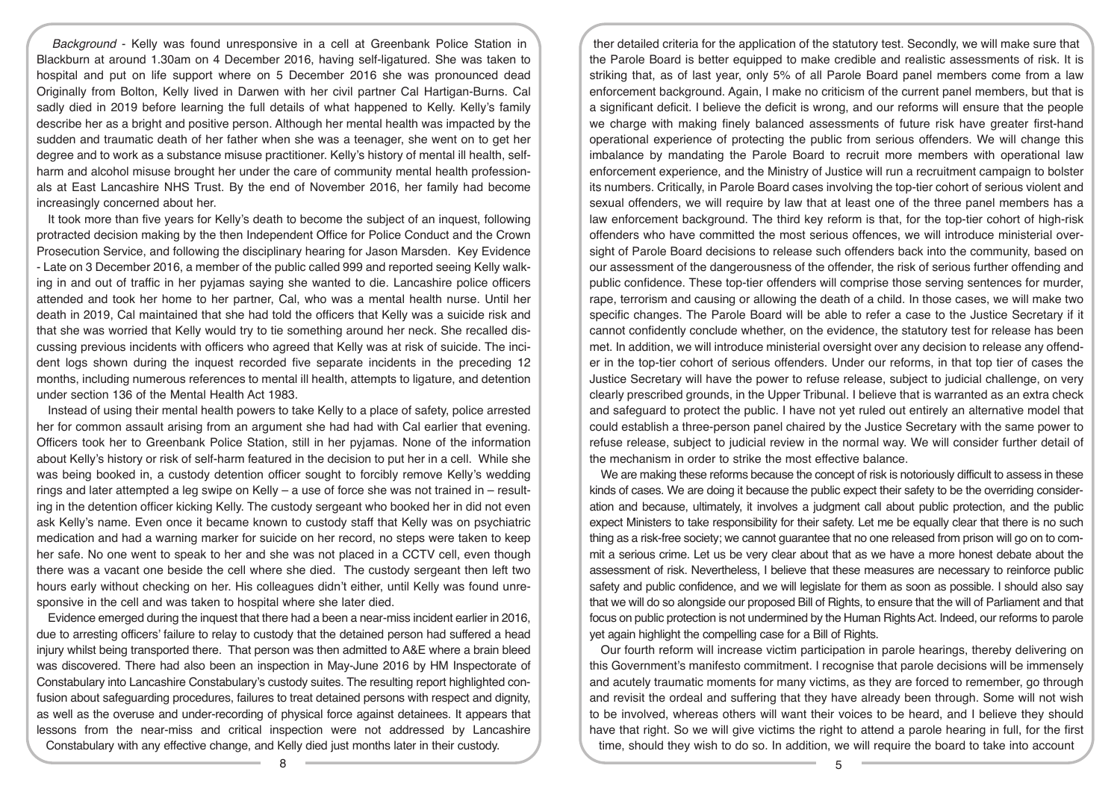*Background* - Kelly was found unresponsive in a cell at Greenbank Police Station in Blackburn at around 1.30am on 4 December 2016, having self-ligatured. She was taken to hospital and put on life support where on 5 December 2016 she was pronounced dead Originally from Bolton, Kelly lived in Darwen with her civil partner Cal Hartigan-Burns. Cal sadly died in 2019 before learning the full details of what happened to Kelly. Kelly's family describe her as a bright and positive person. Although her mental health was impacted by the sudden and traumatic death of her father when she was a teenager, she went on to get her degree and to work as a substance misuse practitioner. Kelly's history of mental ill health, selfharm and alcohol misuse brought her under the care of community mental health professionals at East Lancashire NHS Trust. By the end of November 2016, her family had become increasingly concerned about her.

It took more than five years for Kelly's death to become the subject of an inquest, following protracted decision making by the then Independent Office for Police Conduct and the Crown Prosecution Service, and following the disciplinary hearing for Jason Marsden. Key Evidence - Late on 3 December 2016, a member of the public called 999 and reported seeing Kelly walking in and out of traffic in her pyjamas saying she wanted to die. Lancashire police officers attended and took her home to her partner, Cal, who was a mental health nurse. Until her death in 2019, Cal maintained that she had told the officers that Kelly was a suicide risk and that she was worried that Kelly would try to tie something around her neck. She recalled discussing previous incidents with officers who agreed that Kelly was at risk of suicide. The incident logs shown during the inquest recorded five separate incidents in the preceding 12 months, including numerous references to mental ill health, attempts to ligature, and detention under section 136 of the Mental Health Act 1983.

Instead of using their mental health powers to take Kelly to a place of safety, police arrested her for common assault arising from an argument she had had with Cal earlier that evening. Officers took her to Greenbank Police Station, still in her pyjamas. None of the information about Kelly's history or risk of self-harm featured in the decision to put her in a cell. While she was being booked in, a custody detention officer sought to forcibly remove Kelly's wedding rings and later attempted a leg swipe on Kelly – a use of force she was not trained in – resulting in the detention officer kicking Kelly. The custody sergeant who booked her in did not even ask Kelly's name. Even once it became known to custody staff that Kelly was on psychiatric medication and had a warning marker for suicide on her record, no steps were taken to keep her safe. No one went to speak to her and she was not placed in a CCTV cell, even though there was a vacant one beside the cell where she died. The custody sergeant then left two hours early without checking on her. His colleagues didn't either, until Kelly was found unresponsive in the cell and was taken to hospital where she later died.

Evidence emerged during the inquest that there had a been a near-miss incident earlier in 2016, due to arresting officers' failure to relay to custody that the detained person had suffered a head injury whilst being transported there. That person was then admitted to A&E where a brain bleed was discovered. There had also been an inspection in May-June 2016 by HM Inspectorate of Constabulary into Lancashire Constabulary's custody suites. The resulting report highlighted confusion about safeguarding procedures, failures to treat detained persons with respect and dignity, as well as the overuse and under-recording of physical force against detainees. It appears that lessons from the near-miss and critical inspection were not addressed by Lancashire Constabulary with any effective change, and Kelly died just months later in their custody.

ther detailed criteria for the application of the statutory test. Secondly, we will make sure that the Parole Board is better equipped to make credible and realistic assessments of risk. It is striking that, as of last year, only 5% of all Parole Board panel members come from a law enforcement background. Again, I make no criticism of the current panel members, but that is a significant deficit. I believe the deficit is wrong, and our reforms will ensure that the people we charge with making finely balanced assessments of future risk have greater first-hand operational experience of protecting the public from serious offenders. We will change this imbalance by mandating the Parole Board to recruit more members with operational law enforcement experience, and the Ministry of Justice will run a recruitment campaign to bolster its numbers. Critically, in Parole Board cases involving the top-tier cohort of serious violent and sexual offenders, we will require by law that at least one of the three panel members has a law enforcement background. The third key reform is that, for the top-tier cohort of high-risk offenders who have committed the most serious offences, we will introduce ministerial oversight of Parole Board decisions to release such offenders back into the community, based on our assessment of the dangerousness of the offender, the risk of serious further offending and public confidence. These top-tier offenders will comprise those serving sentences for murder, rape, terrorism and causing or allowing the death of a child. In those cases, we will make two specific changes. The Parole Board will be able to refer a case to the Justice Secretary if it cannot confidently conclude whether, on the evidence, the statutory test for release has been met. In addition, we will introduce ministerial oversight over any decision to release any offender in the top-tier cohort of serious offenders. Under our reforms, in that top tier of cases the Justice Secretary will have the power to refuse release, subject to judicial challenge, on very clearly prescribed grounds, in the Upper Tribunal. I believe that is warranted as an extra check and safeguard to protect the public. I have not yet ruled out entirely an alternative model that could establish a three-person panel chaired by the Justice Secretary with the same power to refuse release, subject to judicial review in the normal way. We will consider further detail of the mechanism in order to strike the most effective balance.

We are making these reforms because the concept of risk is notoriously difficult to assess in these kinds of cases. We are doing it because the public expect their safety to be the overriding consideration and because, ultimately, it involves a judgment call about public protection, and the public expect Ministers to take responsibility for their safety. Let me be equally clear that there is no such thing as a risk-free society; we cannot guarantee that no one released from prison will go on to commit a serious crime. Let us be very clear about that as we have a more honest debate about the assessment of risk. Nevertheless, I believe that these measures are necessary to reinforce public safety and public confidence, and we will legislate for them as soon as possible. I should also say that we will do so alongside our proposed Bill of Rights, to ensure that the will of Parliament and that focus on public protection is not undermined by the Human Rights Act. Indeed, our reforms to parole yet again highlight the compelling case for a Bill of Rights.

Our fourth reform will increase victim participation in parole hearings, thereby delivering on this Government's manifesto commitment. I recognise that parole decisions will be immensely and acutely traumatic moments for many victims, as they are forced to remember, go through and revisit the ordeal and suffering that they have already been through. Some will not wish to be involved, whereas others will want their voices to be heard, and I believe they should have that right. So we will give victims the right to attend a parole hearing in full, for the first time, should they wish to do so. In addition, we will require the board to take into account